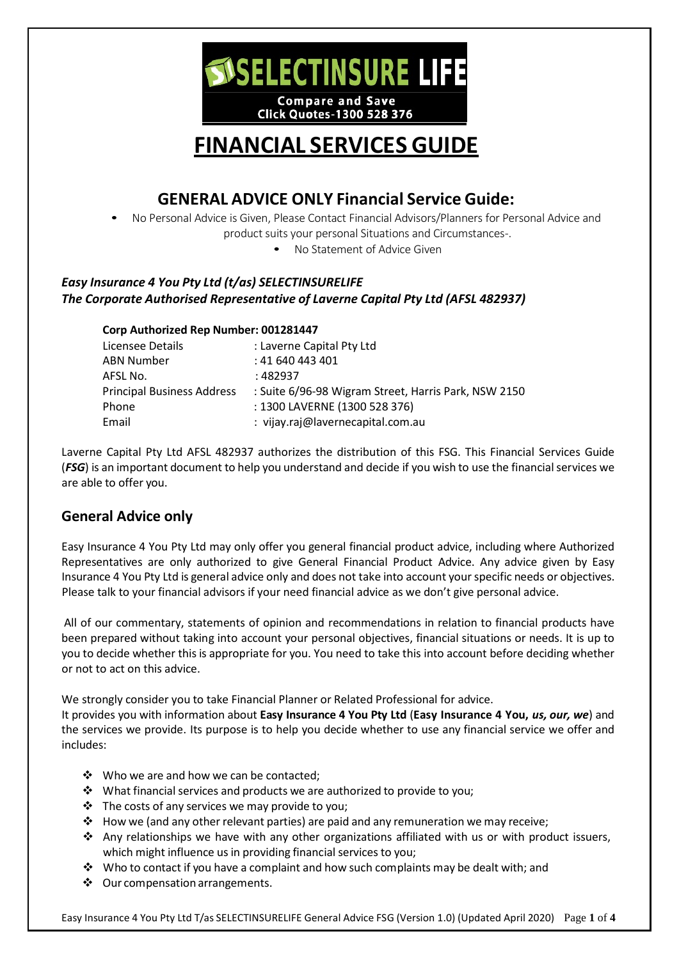

**Click Quotes-1300 528 376** 

# **FINANCIAL SERVICES GUIDE**

# **GENERAL ADVICE ONLY Financial Service Guide:**

- No Personal Advice is Given, Please Contact Financial Advisors/Planners for Personal Advice and product suits your personal Situations and Circumstances-.
	- No Statement of Advice Given

## *Easy Insurance 4 You Pty Ltd (t/as) SELECTINSURELIFE The Corporate Authorised Representative of Laverne Capital Pty Ltd (AFSL 482937)*

#### **Corp Authorized Rep Number: 001281447**

| Licensee Details                  | : Laverne Capital Pty Ltd                            |
|-----------------------------------|------------------------------------------------------|
| <b>ABN Number</b>                 | : 41 640 443 401                                     |
| AFSL No.                          | : 482937                                             |
| <b>Principal Business Address</b> | : Suite 6/96-98 Wigram Street, Harris Park, NSW 2150 |
| Phone                             | : 1300 LAVERNE (1300 528 376)                        |
| Email                             | : vijay.raj@lavernecapital.com.au                    |

Laverne Capital Pty Ltd AFSL 482937 authorizes the distribution of this FSG. This Financial Services Guide (*FSG*) is an important document to help you understand and decide if you wish to use the financial services we are able to offer you.

# **General Advice only**

Easy Insurance 4 You Pty Ltd may only offer you general financial product advice, including where Authorized Representatives are only authorized to give General Financial Product Advice. Any advice given by Easy Insurance 4 You Pty Ltd is general advice only and does not take into account your specific needs or objectives. Please talk to your financial advisors if your need financial advice as we don't give personal advice.

All of our commentary, statements of opinion and recommendations in relation to financial products have been prepared without taking into account your personal objectives, financial situations or needs. It is up to you to decide whether this is appropriate for you. You need to take this into account before deciding whether or not to act on this advice.

We strongly consider you to take Financial Planner or Related Professional for advice.

It provides you with information about **Easy Insurance 4 You Pty Ltd** (**Easy Insurance 4 You,** *us, our, we*) and the services we provide. Its purpose is to help you decide whether to use any financial service we offer and includes:

- ❖ Who we are and how we can be contacted;
- What financial services and products we are authorized to provide to you;
- $\cdot \cdot$  The costs of any services we may provide to you;
- $\div$  How we (and any other relevant parties) are paid and any remuneration we may receive;
- Any relationships we have with any other organizations affiliated with us or with product issuers, which might influence us in providing financial services to you;
- \* Who to contact if you have a complaint and how such complaints may be dealt with; and
- ❖ Our compensation arrangements.

Easy Insurance 4 You Pty Ltd T/as SELECTINSURELIFE General Advice FSG (Version 1.0) (Updated April 2020) Page **1** of **4**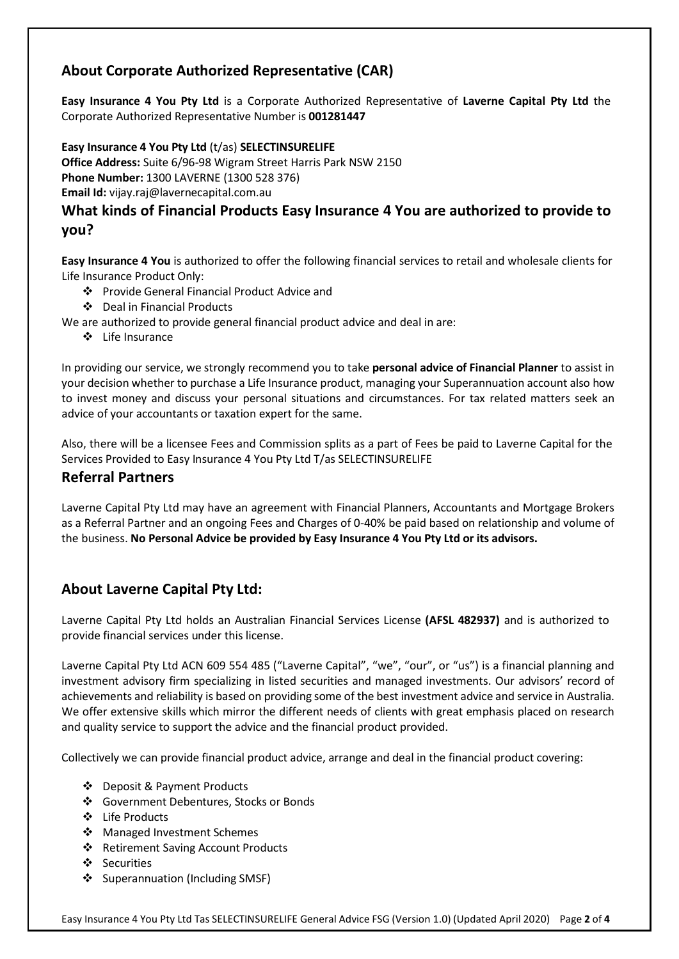# **About Corporate Authorized Representative (CAR)**

**Easy Insurance 4 You Pty Ltd** is a Corporate Authorized Representative of **Laverne Capital Pty Ltd** the Corporate Authorized Representative Number is **001281447**

**Easy Insurance 4 You Pty Ltd** (t/as) **SELECTINSURELIFE**

**Office Address:** Suite 6/96-98 Wigram Street Harris Park NSW 2150 **Phone Number:** 1300 LAVERNE (1300 528 376) **Email Id:** [vijay.raj@lavernecapital.com.au](mailto:vijay.raj@lavernecapital.com.au)

# **What kinds of Financial Products Easy Insurance 4 You are authorized to provide to you?**

**Easy Insurance 4 You** is authorized to offer the following financial services to retail and wholesale clients for Life Insurance Product Only:

- Provide General Financial Product Advice and
- Deal in Financial Products

We are authorized to provide general financial product advice and deal in are:

Life Insurance

In providing our service, we strongly recommend you to take **personal advice of Financial Planner** to assist in your decision whether to purchase a Life Insurance product, managing your Superannuation account also how to invest money and discuss your personal situations and circumstances. For tax related matters seek an advice of your accountants or taxation expert for the same.

Also, there will be a licensee Fees and Commission splits as a part of Fees be paid to Laverne Capital for the Services Provided to Easy Insurance 4 You Pty Ltd T/as SELECTINSURELIFE

## **Referral Partners**

Laverne Capital Pty Ltd may have an agreement with Financial Planners, Accountants and Mortgage Brokers as a Referral Partner and an ongoing Fees and Charges of 0-40% be paid based on relationship and volume of the business. **No Personal Advice be provided by Easy Insurance 4 You Pty Ltd or its advisors.**

# **About Laverne Capital Pty Ltd:**

Laverne Capital Pty Ltd holds an Australian Financial Services License **(AFSL 482937)** and is authorized to provide financial services under this license.

Laverne Capital Pty Ltd ACN 609 554 485 ("Laverne Capital", "we", "our", or "us") is a financial planning and investment advisory firm specializing in listed securities and managed investments. Our advisors' record of achievements and reliability is based on providing some of the best investment advice and service in Australia. We offer extensive skills which mirror the different needs of clients with great emphasis placed on research and quality service to support the advice and the financial product provided.

Collectively we can provide financial product advice, arrange and deal in the financial product covering:

- Deposit & Payment Products
- Government Debentures, Stocks or Bonds
- Life Products
- ❖ Managed Investment Schemes
- ❖ Retirement Saving Account Products
- Securities
- ❖ Superannuation (Including SMSF)

Easy Insurance 4 You Pty Ltd Tas SELECTINSURELIFE General Advice FSG (Version 1.0) (Updated April 2020) Page **2** of **4**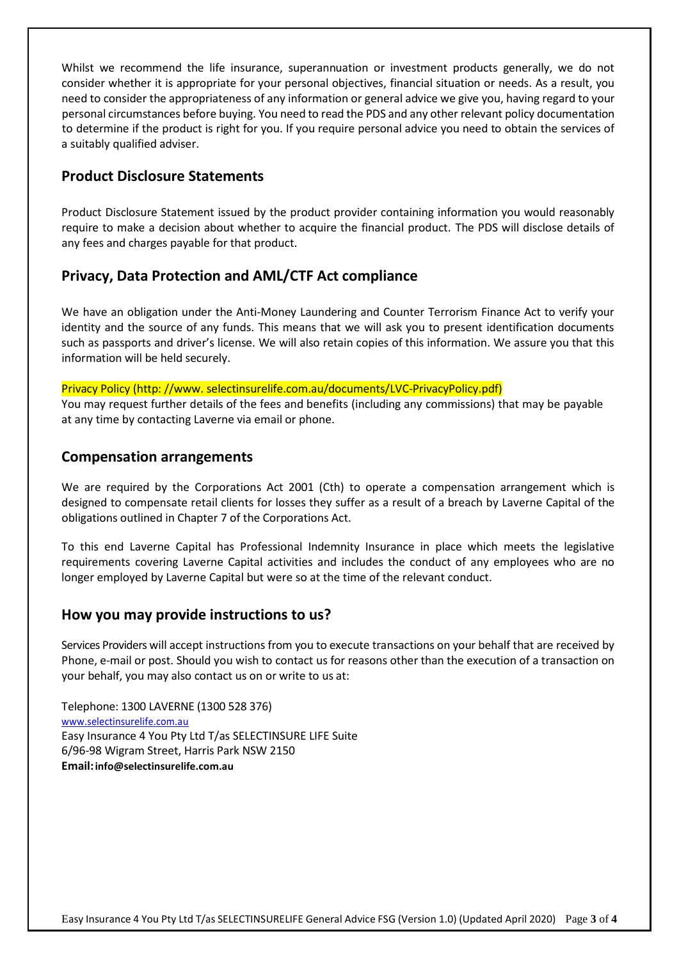Whilst we recommend the life insurance, superannuation or investment products generally, we do not consider whether it is appropriate for your personal objectives, financial situation or needs. As a result, you need to consider the appropriateness of any information or general advice we give you, having regard to your personal circumstances before buying. You need to read the PDS and any other relevant policy documentation to determine if the product is right for you. If you require personal advice you need to obtain the services of a suitably qualified adviser.

# **Product Disclosure Statements**

Product Disclosure Statement issued by the product provider containing information you would reasonably require to make a decision about whether to acquire the financial product. The PDS will disclose details of any fees and charges payable for that product.

### **Privacy, Data Protection and AML/CTF Act compliance**

We have an obligation under the Anti-Money Laundering and Counter Terrorism Finance Act to verify your identity and the source of any funds. This means that we will ask you to present identification documents such as passports and driver's license. We will also retain copies of this information. We assure you that this information will be held securely.

Privacy Policy (http: /[/www.](http://www/) selectinsurelife.com.au/documents/LVC-PrivacyPolicy.pdf)

You may request further details of the fees and benefits (including any commissions) that may be payable at any time by contacting Laverne via email or phone.

#### **Compensation arrangements**

We are required by the Corporations Act 2001 (Cth) to operate a compensation arrangement which is designed to compensate retail clients for losses they suffer as a result of a breach by Laverne Capital of the obligations outlined in Chapter 7 of the Corporations Act.

To this end Laverne Capital has Professional Indemnity Insurance in place which meets the legislative requirements covering Laverne Capital activities and includes the conduct of any employees who are no longer employed by Laverne Capital but were so at the time of the relevant conduct.

#### **How you may provide instructions to us?**

Services Providers will accept instructions from you to execute transactions on your behalf that are received by Phone, e-mail or post. Should you wish to contact us for reasons other than the execution of a transaction on your behalf, you may also contact us on or write to us at:

Telephone: 1300 LAVERNE (1300 528 376) [www.selectinsurelife.com.au](http://www.selectinsurelife.com.au/) Easy Insurance 4 You Pty Ltd T/as SELECTINSURE LIFE Suite 6/96-98 Wigram Street, Harris Park NSW 2150 **Email[:info@selectinsurelife.com.au](mailto:info@selectinsurelife.com.au)**